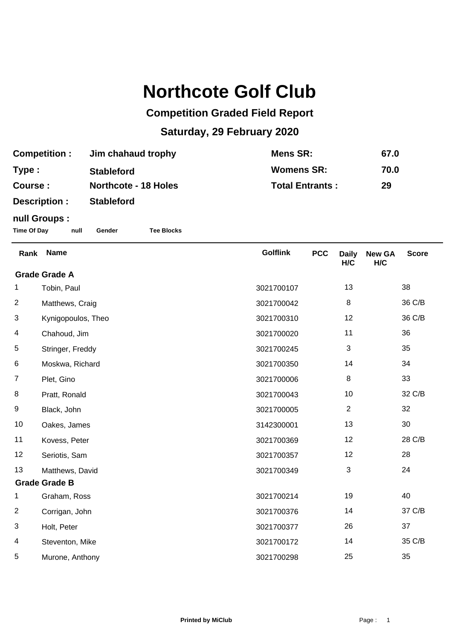## **Northcote Golf Club**

## **Competition Graded Field Report**

## **Saturday, 29 February 2020**

| <b>Competition:</b> | Jim chahaud trophy          | <b>Mens SR:</b>        | 67.0 |
|---------------------|-----------------------------|------------------------|------|
| Type :              | <b>Stableford</b>           | <b>Womens SR:</b>      | 70.0 |
| Course :            | <b>Northcote - 18 Holes</b> | <b>Total Entrants:</b> | 29   |
| Description :       | <b>Stableford</b>           |                        |      |

## **null Groups :**

**Time Of Day null Gender Tee Blocks**

| Rank                 | <b>Name</b>        | <b>Golflink</b> | <b>PCC</b> | <b>Daily</b><br>H/C | <b>New GA</b><br>H/C | <b>Score</b> |  |
|----------------------|--------------------|-----------------|------------|---------------------|----------------------|--------------|--|
| <b>Grade Grade A</b> |                    |                 |            |                     |                      |              |  |
| 1                    | Tobin, Paul        | 3021700107      |            | 13                  |                      | 38           |  |
| $\overline{2}$       | Matthews, Craig    | 3021700042      |            | 8                   |                      | 36 C/B       |  |
| 3                    | Kynigopoulos, Theo | 3021700310      |            | 12                  |                      | 36 C/B       |  |
| 4                    | Chahoud, Jim       | 3021700020      |            | 11                  |                      | 36           |  |
| 5                    | Stringer, Freddy   | 3021700245      |            | 3                   |                      | 35           |  |
| 6                    | Moskwa, Richard    | 3021700350      |            | 14                  |                      | 34           |  |
| $\overline{7}$       | Plet, Gino         | 3021700006      |            | 8                   |                      | 33           |  |
| 8                    | Pratt, Ronald      | 3021700043      |            | 10                  |                      | 32 C/B       |  |
| 9                    | Black, John        | 3021700005      |            | $\overline{2}$      |                      | 32           |  |
| 10                   | Oakes, James       | 3142300001      |            | 13                  |                      | 30           |  |
| 11                   | Kovess, Peter      | 3021700369      |            | 12                  |                      | 28 C/B       |  |
| 12                   | Seriotis, Sam      | 3021700357      |            | 12                  |                      | 28           |  |
| 13                   | Matthews, David    | 3021700349      |            | $\mathbf{3}$        |                      | 24           |  |
| <b>Grade Grade B</b> |                    |                 |            |                     |                      |              |  |
| 1                    | Graham, Ross       | 3021700214      |            | 19                  |                      | 40           |  |
| $\overline{2}$       | Corrigan, John     | 3021700376      |            | 14                  |                      | 37 C/B       |  |
| 3                    | Holt, Peter        | 3021700377      |            | 26                  |                      | 37           |  |
| 4                    | Steventon, Mike    | 3021700172      |            | 14                  |                      | 35 C/B       |  |
| 5                    | Murone, Anthony    | 3021700298      |            | 25                  |                      | 35           |  |